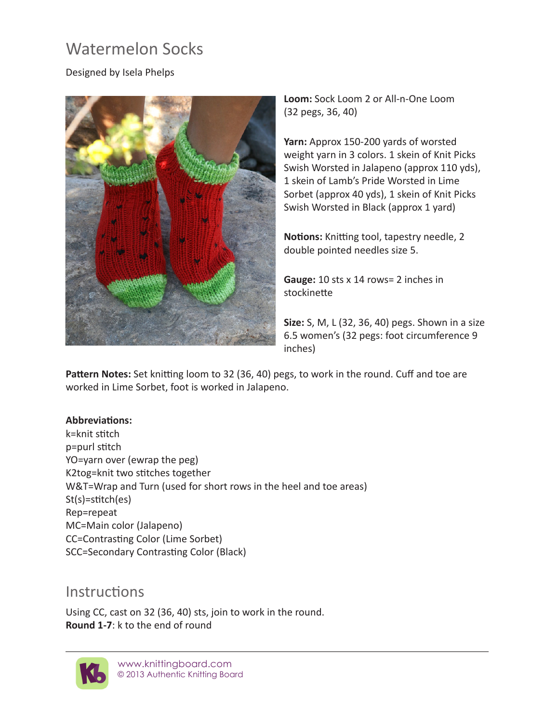# Watermelon Socks

## Designed by Isela Phelps



**Loom:** Sock Loom 2 or All-n-One Loom (32 pegs, 36, 40)

**Yarn:** Approx 150-200 yards of worsted weight yarn in 3 colors. 1 skein of Knit Picks Swish Worsted in Jalapeno (approx 110 yds), 1 skein of Lamb's Pride Worsted in Lime Sorbet (approx 40 yds), 1 skein of Knit Picks Swish Worsted in Black (approx 1 yard)

**Notions:** Knitting tool, tapestry needle, 2 double pointed needles size 5.

**Gauge:** 10 sts x 14 rows= 2 inches in stockinette

**Size:** S, M, L (32, 36, 40) pegs. Shown in a size 6.5 women's (32 pegs: foot circumference 9 inches)

**Pattern Notes:** Set knitting loom to 32 (36, 40) pegs, to work in the round. Cuff and toe are worked in Lime Sorbet, foot is worked in Jalapeno.

#### **Abbreviations:**

k=knit stitch p=purl stitch YO=yarn over (ewrap the peg) K2tog=knit two stitches together W&T=Wrap and Turn (used for short rows in the heel and toe areas) St(s)=stitch(es) Rep=repeat MC=Main color (Jalapeno) CC=Contrasting Color (Lime Sorbet) SCC=Secondary Contrasting Color (Black)

# **Instructions**

Using CC, cast on 32 (36, 40) sts, join to work in the round. **Round 1-7**: k to the end of round